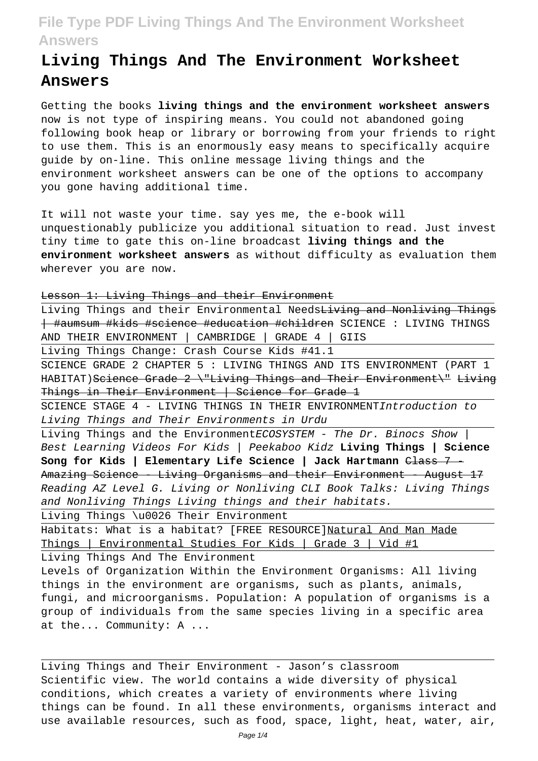# **Living Things And The Environment Worksheet Answers**

Getting the books **living things and the environment worksheet answers** now is not type of inspiring means. You could not abandoned going following book heap or library or borrowing from your friends to right to use them. This is an enormously easy means to specifically acquire guide by on-line. This online message living things and the environment worksheet answers can be one of the options to accompany you gone having additional time.

It will not waste your time. say yes me, the e-book will unquestionably publicize you additional situation to read. Just invest tiny time to gate this on-line broadcast **living things and the environment worksheet answers** as without difficulty as evaluation them wherever you are now.

Lesson 1: Living Things and their Environment

| Living Things and their Environmental Needs <del>Living and Nonliving Things</del> |
|------------------------------------------------------------------------------------|
| <del>  #aumsum #kids #science #education #children</del> SCIENCE : LIVING THINGS   |
| AND THEIR ENVIRONMENT   CAMBRIDGE   GRADE 4  <br>GIIS                              |
| Living Things Change: Crash Course Kids #41.1                                      |
| SCIENCE GRADE 2 CHAPTER 5 : LIVING THINGS AND ITS ENVIRONMENT (PART 1              |
| HABITAT) Seience Grade 2 \"Living Things and Their Environment\" Living            |
| Things in Their Environment   Science for Grade 1                                  |
| SCIENCE STAGE 4 - LIVING THINGS IN THEIR ENVIRONMENTIntroduction to                |
| Living Things and Their Environments in Urdu                                       |
| Living Things and the EnvironmentECOSYSTEM - The Dr. Binocs Show                   |
| Best Learning Videos For Kids   Peekaboo Kidz <b>Living Things   Science</b>       |
|                                                                                    |
| Amazing Science - Living Organisms and their Environment - August 17               |
| Reading AZ Level G. Living or Nonliving CLI Book Talks: Living Things              |
| and Nonliving Things Living things and their habitats.                             |
| Living Things \u0026 Their Environment                                             |
| Habitats: What is a habitat? [FREE RESOURCE]Natural And Man Made                   |
| Things Environmental Studies For Kids   Grade 3   Vid #1                           |
| Living Things And The Environment                                                  |
| Levels of Organization Within the Environment Organisms: All living                |
| things in the environment are organisms, such as plants, animals,                  |
| fungi, and microorganisms. Population: A population of organisms is a              |
| group of individuals from the same species living in a specific area               |
| at the Community: A                                                                |

Living Things and Their Environment - Jason's classroom Scientific view. The world contains a wide diversity of physical conditions, which creates a variety of environments where living things can be found. In all these environments, organisms interact and use available resources, such as food, space, light, heat, water, air,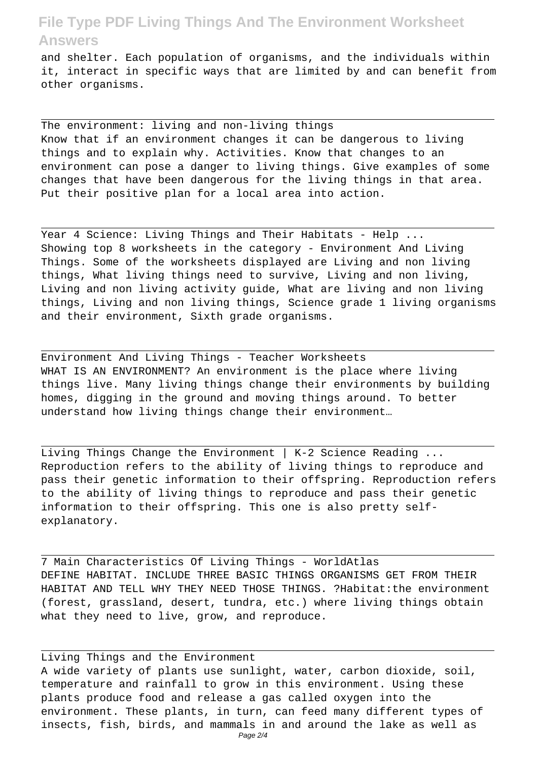and shelter. Each population of organisms, and the individuals within it, interact in specific ways that are limited by and can benefit from other organisms.

The environment: living and non-living things Know that if an environment changes it can be dangerous to living things and to explain why. Activities. Know that changes to an environment can pose a danger to living things. Give examples of some changes that have been dangerous for the living things in that area. Put their positive plan for a local area into action.

Year 4 Science: Living Things and Their Habitats - Help ... Showing top 8 worksheets in the category - Environment And Living Things. Some of the worksheets displayed are Living and non living things, What living things need to survive, Living and non living, Living and non living activity guide, What are living and non living things, Living and non living things, Science grade 1 living organisms and their environment, Sixth grade organisms.

Environment And Living Things - Teacher Worksheets WHAT IS AN ENVIRONMENT? An environment is the place where living things live. Many living things change their environments by building homes, digging in the ground and moving things around. To better understand how living things change their environment…

Living Things Change the Environment | K-2 Science Reading ... Reproduction refers to the ability of living things to reproduce and pass their genetic information to their offspring. Reproduction refers to the ability of living things to reproduce and pass their genetic information to their offspring. This one is also pretty selfexplanatory.

7 Main Characteristics Of Living Things - WorldAtlas DEFINE HABITAT. INCLUDE THREE BASIC THINGS ORGANISMS GET FROM THEIR HABITAT AND TELL WHY THEY NEED THOSE THINGS. ?Habitat:the environment (forest, grassland, desert, tundra, etc.) where living things obtain what they need to live, grow, and reproduce.

Living Things and the Environment A wide variety of plants use sunlight, water, carbon dioxide, soil, temperature and rainfall to grow in this environment. Using these plants produce food and release a gas called oxygen into the environment. These plants, in turn, can feed many different types of insects, fish, birds, and mammals in and around the lake as well as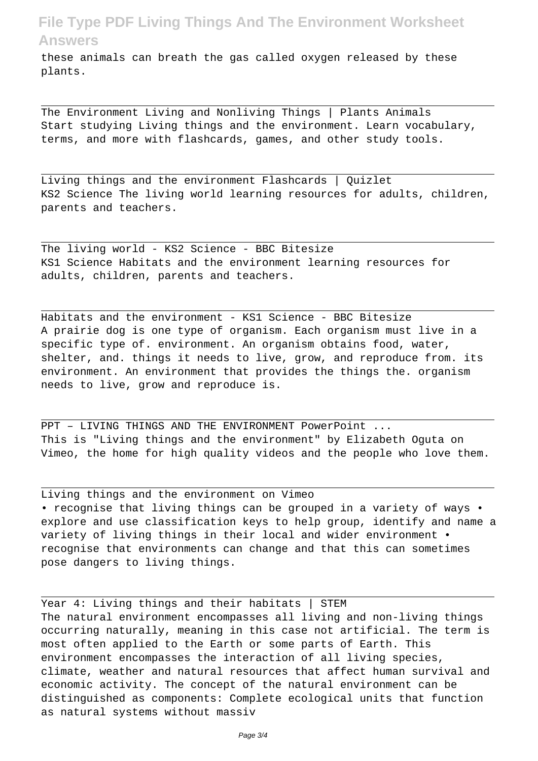these animals can breath the gas called oxygen released by these plants.

The Environment Living and Nonliving Things | Plants Animals Start studying Living things and the environment. Learn vocabulary, terms, and more with flashcards, games, and other study tools.

Living things and the environment Flashcards | Quizlet KS2 Science The living world learning resources for adults, children, parents and teachers.

The living world - KS2 Science - BBC Bitesize KS1 Science Habitats and the environment learning resources for adults, children, parents and teachers.

Habitats and the environment - KS1 Science - BBC Bitesize A prairie dog is one type of organism. Each organism must live in a specific type of. environment. An organism obtains food, water, shelter, and. things it needs to live, grow, and reproduce from. its environment. An environment that provides the things the. organism needs to live, grow and reproduce is.

PPT – LIVING THINGS AND THE ENVIRONMENT PowerPoint ... This is "Living things and the environment" by Elizabeth Oguta on Vimeo, the home for high quality videos and the people who love them.

Living things and the environment on Vimeo • recognise that living things can be grouped in a variety of ways • explore and use classification keys to help group, identify and name a variety of living things in their local and wider environment • recognise that environments can change and that this can sometimes pose dangers to living things.

Year 4: Living things and their habitats | STEM The natural environment encompasses all living and non-living things occurring naturally, meaning in this case not artificial. The term is most often applied to the Earth or some parts of Earth. This environment encompasses the interaction of all living species, climate, weather and natural resources that affect human survival and economic activity. The concept of the natural environment can be distinguished as components: Complete ecological units that function as natural systems without massiv